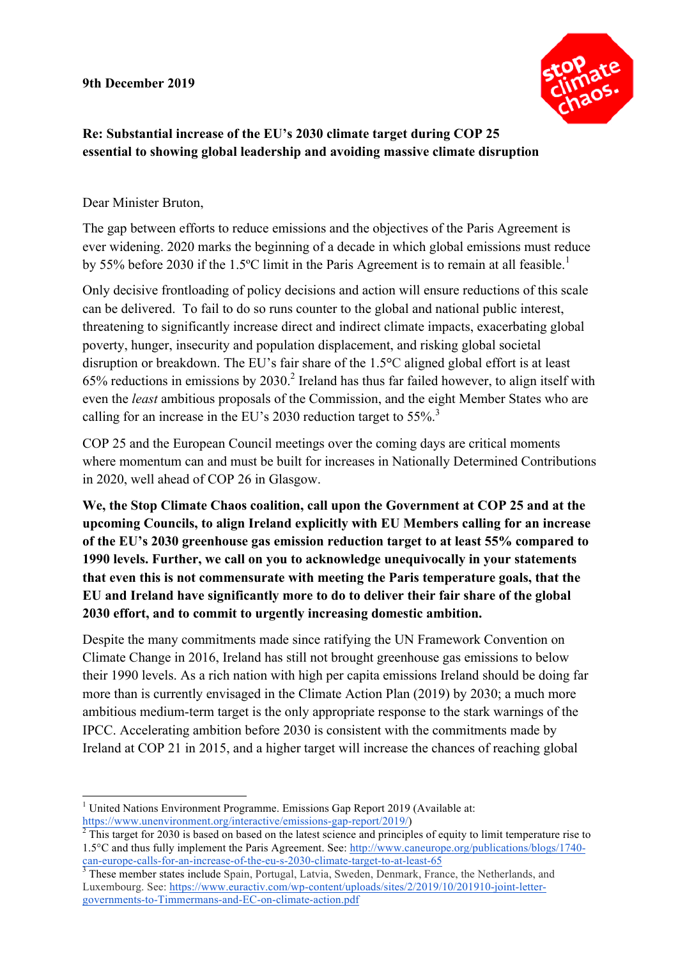**9th December 2019**



## **Re: Substantial increase of the EU's 2030 climate target during COP 25 essential to showing global leadership and avoiding massive climate disruption**

Dear Minister Bruton,

The gap between efforts to reduce emissions and the objectives of the Paris Agreement is ever widening. 2020 marks the beginning of a decade in which global emissions must reduce by 55% before 2030 if the 1.5°C limit in the Paris Agreement is to remain at all feasible.<sup>1</sup>

Only decisive frontloading of policy decisions and action will ensure reductions of this scale can be delivered. To fail to do so runs counter to the global and national public interest, threatening to significantly increase direct and indirect climate impacts, exacerbating global poverty, hunger, insecurity and population displacement, and risking global societal disruption or breakdown. The EU's fair share of the 1.5**°**C aligned global effort is at least 65% reductions in emissions by 2030.<sup>2</sup> Ireland has thus far failed however, to align itself with even the *least* ambitious proposals of the Commission, and the eight Member States who are calling for an increase in the EU's 2030 reduction target to  $55\%$ <sup>3</sup>

COP 25 and the European Council meetings over the coming days are critical moments where momentum can and must be built for increases in Nationally Determined Contributions in 2020, well ahead of COP 26 in Glasgow.

**We, the Stop Climate Chaos coalition, call upon the Government at COP 25 and at the upcoming Councils, to align Ireland explicitly with EU Members calling for an increase of the EU's 2030 greenhouse gas emission reduction target to at least 55% compared to 1990 levels. Further, we call on you to acknowledge unequivocally in your statements that even this is not commensurate with meeting the Paris temperature goals, that the EU and Ireland have significantly more to do to deliver their fair share of the global 2030 effort, and to commit to urgently increasing domestic ambition.** 

Despite the many commitments made since ratifying the UN Framework Convention on Climate Change in 2016, Ireland has still not brought greenhouse gas emissions to below their 1990 levels. As a rich nation with high per capita emissions Ireland should be doing far more than is currently envisaged in the Climate Action Plan (2019) by 2030; a much more ambitious medium-term target is the only appropriate response to the stark warnings of the IPCC. Accelerating ambition before 2030 is consistent with the commitments made by Ireland at COP 21 in 2015, and a higher target will increase the chances of reaching global

 $1$  United Nations Environment Programme. Emissions Gap Report 2019 (Available at:

https://www.unenvironment.org/interactive/emissions-gap-report/2019/)<br> $\frac{1}{2}$  This target for 2030 is based on based on the latest science and principles of equity to limit temperature rise to 1.5°C and thus fully implement the Paris Agreement. See: http://www.caneurope.org/publications/blogs/1740 can-europe-calls-for-an-increase-of-the-eu-s-2030-climate-target-to-at-least-65<br><sup>3</sup> These member states include Spain, Portugal, Latvia, Sweden, Denmark, France, the Netherlands, and

Luxembourg. See: https://www.euractiv.com/wp-content/uploads/sites/2/2019/10/201910-joint-lettergovernments-to-Timmermans-and-EC-on-climate-action.pdf